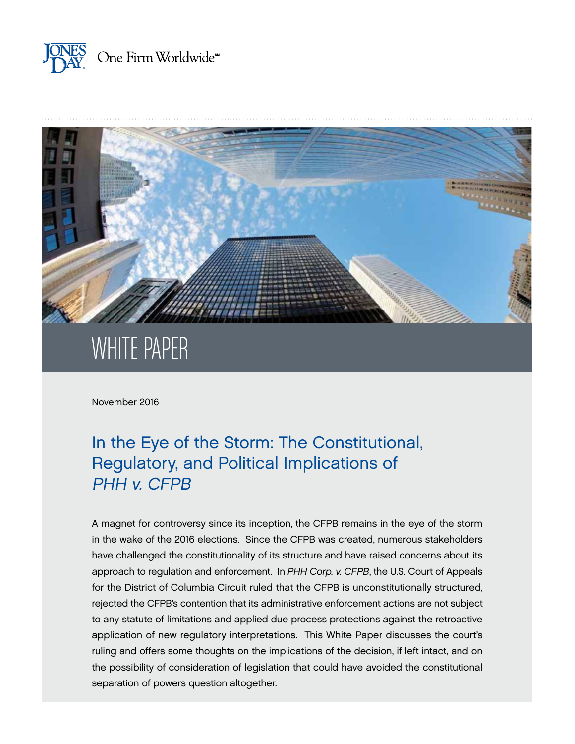



# WHITE PAPER

November 2016

# In the Eye of the Storm: The Constitutional, Regulatory, and Political Implications of PHH v. CFPB

A magnet for controversy since its inception, the CFPB remains in the eye of the storm in the wake of the 2016 elections. Since the CFPB was created, numerous stakeholders have challenged the constitutionality of its structure and have raised concerns about its approach to regulation and enforcement. In *PHH Corp. v. CFPB*, the U.S. Court of Appeals for the District of Columbia Circuit ruled that the CFPB is unconstitutionally structured, rejected the CFPB's contention that its administrative enforcement actions are not subject to any statute of limitations and applied due process protections against the retroactive application of new regulatory interpretations. This White Paper discusses the court's ruling and offers some thoughts on the implications of the decision, if left intact, and on the possibility of consideration of legislation that could have avoided the constitutional separation of powers question altogether.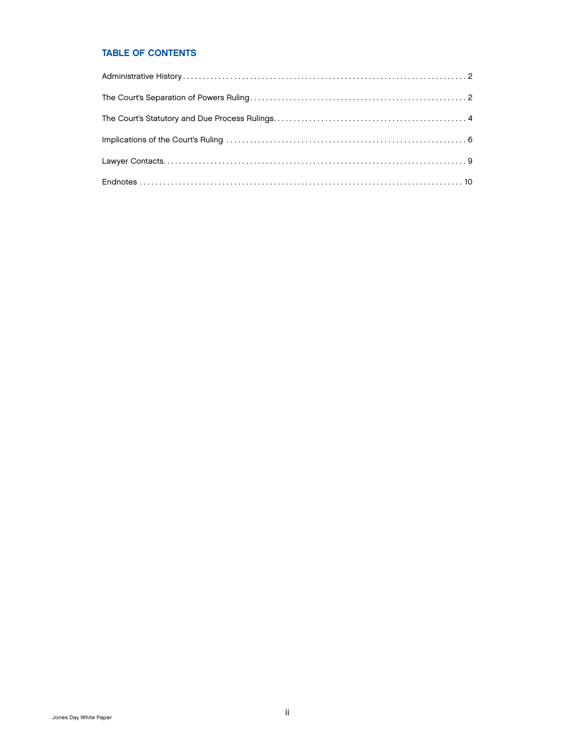### TABLE OF CONTENTS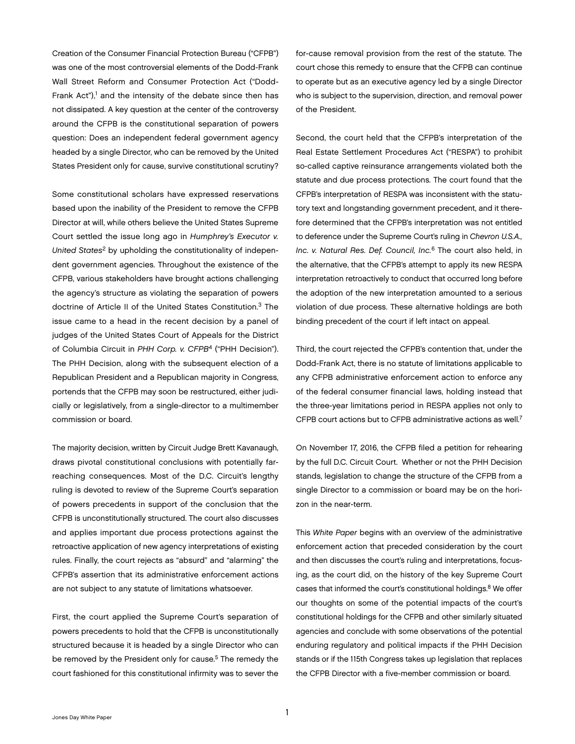Creation of the Consumer Financial Protection Bureau ("CFPB") was one of the most controversial elements of the Dodd-Frank Wall Street Reform and Consumer Protection Act ("Dodd-Frank Act"),<sup>1</sup> and the intensity of the debate since then has not dissipated. A key question at the center of the controversy around the CFPB is the constitutional separation of powers question: Does an independent federal government agency headed by a single Director, who can be removed by the United States President only for cause, survive constitutional scrutiny?

Some constitutional scholars have expressed reservations based upon the inability of the President to remove the CFPB Director at will, while others believe the United States Supreme Court settled the issue long ago in *Humphrey's Executor v. United States*2 by upholding the constitutionality of independent government agencies. Throughout the existence of the CFPB, various stakeholders have brought actions challenging the agency's structure as violating the separation of powers doctrine of Article II of the United States Constitution.3 The issue came to a head in the recent decision by a panel of judges of the United States Court of Appeals for the District of Columbia Circuit in *[PHH Corp. v. CFPB](http://www.jonesday.com/files/upload/PHH.pdf)*4 ("PHH Decision"). The PHH Decision, along with the subsequent election of a Republican President and a Republican majority in Congress, portends that the CFPB may soon be restructured, either judicially or legislatively, from a single-director to a multimember commission or board.

The majority decision, written by Circuit Judge Brett Kavanaugh, draws pivotal constitutional conclusions with potentially farreaching consequences. Most of the D.C. Circuit's lengthy ruling is devoted to review of the Supreme Court's separation of powers precedents in support of the conclusion that the CFPB is unconstitutionally structured. The court also discusses and applies important due process protections against the retroactive application of new agency interpretations of existing rules. Finally, the court rejects as "absurd" and "alarming" the CFPB's assertion that its administrative enforcement actions are not subject to any statute of limitations whatsoever.

First, the court applied the Supreme Court's separation of powers precedents to hold that the CFPB is unconstitutionally structured because it is headed by a single Director who can be removed by the President only for cause.<sup>5</sup> The remedy the court fashioned for this constitutional infirmity was to sever the

for-cause removal provision from the rest of the statute. The court chose this remedy to ensure that the CFPB can continue to operate but as an executive agency led by a single Director who is subject to the supervision, direction, and removal power of the President.

Second, the court held that the CFPB's interpretation of the Real Estate Settlement Procedures Act ("RESPA") to prohibit so-called captive reinsurance arrangements violated both the statute and due process protections. The court found that the CFPB's interpretation of RESPA was inconsistent with the statutory text and longstanding government precedent, and it therefore determined that the CFPB's interpretation was not entitled to deference under the Supreme Court's ruling in *Chevron U.S.A., Inc. v. Natural Res. Def. Council, Inc.*6 The court also held, in the alternative, that the CFPB's attempt to apply its new RESPA interpretation retroactively to conduct that occurred long before the adoption of the new interpretation amounted to a serious violation of due process. These alternative holdings are both binding precedent of the court if left intact on appeal.

Third, the court rejected the CFPB's contention that, under the Dodd-Frank Act, there is no statute of limitations applicable to any CFPB administrative enforcement action to enforce any of the federal consumer financial laws, holding instead that the three-year limitations period in RESPA applies not only to CFPB court actions but to CFPB administrative actions as well.7

On November 17, 2016, the CFPB filed a petition for rehearing by the full D.C. Circuit Court. Whether or not the PHH Decision stands, legislation to change the structure of the CFPB from a single Director to a commission or board may be on the horizon in the near-term.

This *White Paper* begins with an overview of the administrative enforcement action that preceded consideration by the court and then discusses the court's ruling and interpretations, focusing, as the court did, on the history of the key Supreme Court cases that informed the court's constitutional holdings.<sup>8</sup> We offer our thoughts on some of the potential impacts of the court's constitutional holdings for the CFPB and other similarly situated agencies and conclude with some observations of the potential enduring regulatory and political impacts if the PHH Decision stands or if the 115th Congress takes up legislation that replaces the CFPB Director with a five-member commission or board.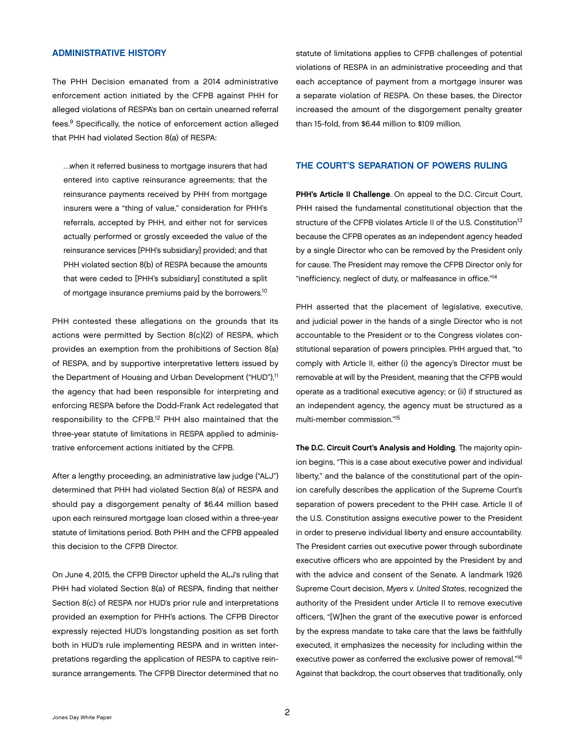#### <span id="page-3-0"></span>ADMINISTRATIVE HISTORY

The PHH Decision emanated from a 2014 administrative enforcement action initiated by the CFPB against PHH for alleged violations of RESPA's ban on certain unearned referral fees.9 Specifically, the notice of enforcement action alleged that PHH had violated Section 8(a) of RESPA:

…when it referred business to mortgage insurers that had entered into captive reinsurance agreements; that the reinsurance payments received by PHH from mortgage insurers were a "thing of value," consideration for PHH's referrals, accepted by PHH, and either not for services actually performed or grossly exceeded the value of the reinsurance services [PHH's subsidiary] provided; and that PHH violated section 8(b) of RESPA because the amounts that were ceded to [PHH's subsidiary] constituted a split of mortgage insurance premiums paid by the borrowers.<sup>10</sup>

PHH contested these allegations on the grounds that its actions were permitted by Section 8(c)(2) of RESPA, which provides an exemption from the prohibitions of Section 8(a) of RESPA, and by supportive interpretative letters issued by the Department of Housing and Urban Development ("HUD"),<sup>11</sup> the agency that had been responsible for interpreting and enforcing RESPA before the Dodd-Frank Act redelegated that responsibility to the CFPB.12 PHH also maintained that the three-year statute of limitations in RESPA applied to administrative enforcement actions initiated by the CFPB.

After a lengthy proceeding, an administrative law judge ("ALJ") determined that PHH had violated Section 8(a) of RESPA and should pay a disgorgement penalty of \$6.44 million based upon each reinsured mortgage loan closed within a three-year statute of limitations period. Both PHH and the CFPB appealed this decision to the CFPB Director.

On June 4, 2015, the CFPB Director upheld the ALJ's ruling that PHH had violated Section 8(a) of RESPA, finding that neither Section 8(c) of RESPA nor HUD's prior rule and interpretations provided an exemption for PHH's actions. The CFPB Director expressly rejected HUD's longstanding position as set forth both in HUD's rule implementing RESPA and in written interpretations regarding the application of RESPA to captive reinsurance arrangements. The CFPB Director determined that no

statute of limitations applies to CFPB challenges of potential violations of RESPA in an administrative proceeding and that each acceptance of payment from a mortgage insurer was a separate violation of RESPA. On these bases, the Director increased the amount of the disgorgement penalty greater than 15-fold, from \$6.44 million to \$109 million.

#### THE COURT'S SEPARATION OF POWERS RULING

PHH's Article II Challenge. On appeal to the D.C. Circuit Court, PHH raised the fundamental constitutional objection that the structure of the CFPB violates Article II of the U.S. Constitution<sup>13</sup> because the CFPB operates as an independent agency headed by a single Director who can be removed by the President only for cause. The President may remove the CFPB Director only for "inefficiency, neglect of duty, or malfeasance in office."14

PHH asserted that the placement of legislative, executive, and judicial power in the hands of a single Director who is not accountable to the President or to the Congress violates constitutional separation of powers principles. PHH argued that, "to comply with Article II, either (i) the agency's Director must be removable at will by the President, meaning that the CFPB would operate as a traditional executive agency; or (ii) if structured as an independent agency, the agency must be structured as a multi-member commission."15

The D.C. Circuit Court's Analysis and Holding. The majority opinion begins, "This is a case about executive power and individual liberty," and the balance of the constitutional part of the opinion carefully describes the application of the Supreme Court's separation of powers precedent to the PHH case. Article II of the U.S. Constitution assigns executive power to the President in order to preserve individual liberty and ensure accountability. The President carries out executive power through subordinate executive officers who are appointed by the President by and with the advice and consent of the Senate. A landmark 1926 Supreme Court decision, *Myers v. United States*, recognized the authority of the President under Article II to remove executive officers, "[W]hen the grant of the executive power is enforced by the express mandate to take care that the laws be faithfully executed, it emphasizes the necessity for including within the executive power as conferred the exclusive power of removal."<sup>16</sup> Against that backdrop, the court observes that traditionally, only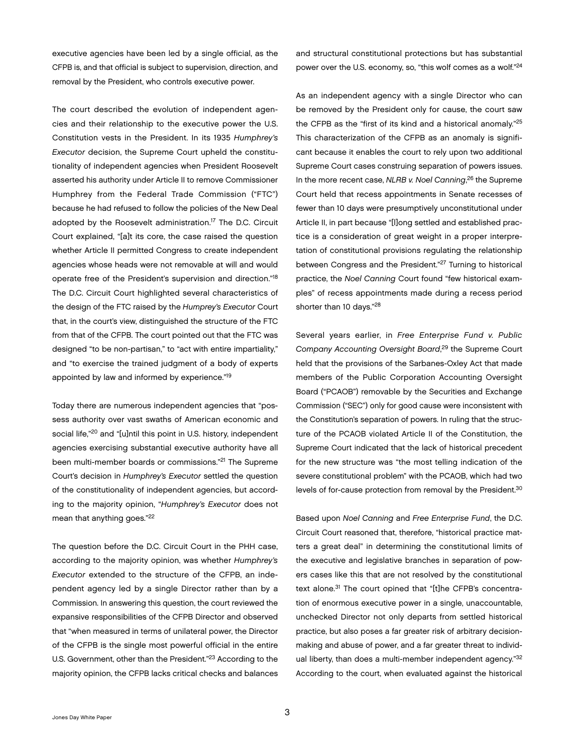executive agencies have been led by a single official, as the CFPB is, and that official is subject to supervision, direction, and removal by the President, who controls executive power.

The court described the evolution of independent agencies and their relationship to the executive power the U.S. Constitution vests in the President. In its 1935 *Humphrey's Executor* decision, the Supreme Court upheld the constitutionality of independent agencies when President Roosevelt asserted his authority under Article II to remove Commissioner Humphrey from the Federal Trade Commission ("FTC") because he had refused to follow the policies of the New Deal adopted by the Roosevelt administration.17 The D.C. Circuit Court explained, "[a]t its core, the case raised the question whether Article II permitted Congress to create independent agencies whose heads were not removable at will and would operate free of the President's supervision and direction."<sup>18</sup> The D.C. Circuit Court highlighted several characteristics of the design of the FTC raised by the *Humprey's Executor* Court that, in the court's view, distinguished the structure of the FTC from that of the CFPB. The court pointed out that the FTC was designed "to be non-partisan," to "act with entire impartiality," and "to exercise the trained judgment of a body of experts appointed by law and informed by experience."19

Today there are numerous independent agencies that "possess authority over vast swaths of American economic and social life,"20 and "[u]ntil this point in U.S. history, independent agencies exercising substantial executive authority have all been multi-member boards or commissions."21 The Supreme Court's decision in *Humphrey's Executor* settled the question of the constitutionality of independent agencies, but according to the majority opinion, "*Humphrey's Executor* does not mean that anything goes."22

The question before the D.C. Circuit Court in the PHH case, according to the majority opinion, was whether *Humphrey's Executor* extended to the structure of the CFPB, an independent agency led by a single Director rather than by a Commission. In answering this question, the court reviewed the expansive responsibilities of the CFPB Director and observed that "when measured in terms of unilateral power, the Director of the CFPB is the single most powerful official in the entire U.S. Government, other than the President."23 According to the majority opinion, the CFPB lacks critical checks and balances

and structural constitutional protections but has substantial power over the U.S. economy, so, "this wolf comes as a wolf."<sup>24</sup>

As an independent agency with a single Director who can be removed by the President only for cause, the court saw the CFPB as the "first of its kind and a historical anomaly."25 This characterization of the CFPB as an anomaly is significant because it enables the court to rely upon two additional Supreme Court cases construing separation of powers issues. In the more recent case, *NLRB v. Noel Canning*, 26 the Supreme Court held that recess appointments in Senate recesses of fewer than 10 days were presumptively unconstitutional under Article II, in part because "[l]ong settled and established practice is a consideration of great weight in a proper interpretation of constitutional provisions regulating the relationship between Congress and the President."<sup>27</sup> Turning to historical practice, the *Noel Canning* Court found "few historical examples" of recess appointments made during a recess period shorter than 10 days."28

Several years earlier, in *Free Enterprise Fund v. Public Company Accounting Oversight Board*, 29 the Supreme Court held that the provisions of the Sarbanes-Oxley Act that made members of the Public Corporation Accounting Oversight Board ("PCAOB") removable by the Securities and Exchange Commission ("SEC") only for good cause were inconsistent with the Constitution's separation of powers. In ruling that the structure of the PCAOB violated Article II of the Constitution, the Supreme Court indicated that the lack of historical precedent for the new structure was "the most telling indication of the severe constitutional problem" with the PCAOB, which had two levels of for-cause protection from removal by the President.<sup>30</sup>

Based upon *Noel Canning* and *Free Enterprise Fund*, the D.C. Circuit Court reasoned that, therefore, "historical practice matters a great deal" in determining the constitutional limits of the executive and legislative branches in separation of powers cases like this that are not resolved by the constitutional text alone.<sup>31</sup> The court opined that "[t]he CFPB's concentration of enormous executive power in a single, unaccountable, unchecked Director not only departs from settled historical practice, but also poses a far greater risk of arbitrary decisionmaking and abuse of power, and a far greater threat to individual liberty, than does a multi-member independent agency."32 According to the court, when evaluated against the historical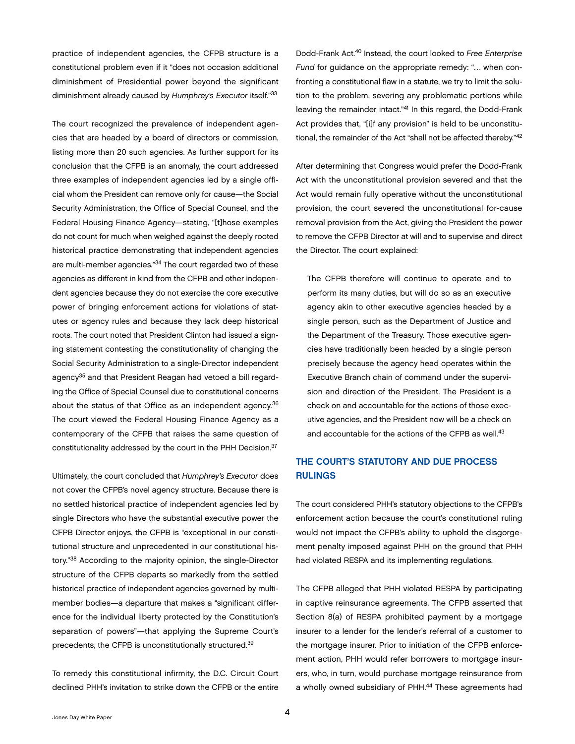<span id="page-5-0"></span>practice of independent agencies, the CFPB structure is a constitutional problem even if it "does not occasion additional diminishment of Presidential power beyond the significant diminishment already caused by *Humphrey's Executor* itself."33

The court recognized the prevalence of independent agencies that are headed by a board of directors or commission, listing more than 20 such agencies. As further support for its conclusion that the CFPB is an anomaly, the court addressed three examples of independent agencies led by a single official whom the President can remove only for cause—the Social Security Administration, the Office of Special Counsel, and the Federal Housing Finance Agency—stating, "[t]hose examples do not count for much when weighed against the deeply rooted historical practice demonstrating that independent agencies are multi-member agencies."34 The court regarded two of these agencies as different in kind from the CFPB and other independent agencies because they do not exercise the core executive power of bringing enforcement actions for violations of statutes or agency rules and because they lack deep historical roots. The court noted that President Clinton had issued a signing statement contesting the constitutionality of changing the Social Security Administration to a single-Director independent agency35 and that President Reagan had vetoed a bill regarding the Office of Special Counsel due to constitutional concerns about the status of that Office as an independent agency.<sup>36</sup> The court viewed the Federal Housing Finance Agency as a contemporary of the CFPB that raises the same question of constitutionality addressed by the court in the PHH Decision.37

Ultimately, the court concluded that *Humphrey's Executor* does not cover the CFPB's novel agency structure. Because there is no settled historical practice of independent agencies led by single Directors who have the substantial executive power the CFPB Director enjoys, the CFPB is "exceptional in our constitutional structure and unprecedented in our constitutional history."38 According to the majority opinion, the single-Director structure of the CFPB departs so markedly from the settled historical practice of independent agencies governed by multimember bodies—a departure that makes a "significant difference for the individual liberty protected by the Constitution's separation of powers"—that applying the Supreme Court's precedents, the CFPB is unconstitutionally structured.39

To remedy this constitutional infirmity, the D.C. Circuit Court declined PHH's invitation to strike down the CFPB or the entire

Dodd-Frank Act.40 Instead, the court looked to *Free Enterprise Fund* for guidance on the appropriate remedy: "… when confronting a constitutional flaw in a statute, we try to limit the solution to the problem, severing any problematic portions while leaving the remainder intact."41 In this regard, the Dodd-Frank Act provides that, "[i]f any provision" is held to be unconstitutional, the remainder of the Act "shall not be affected thereby."42

After determining that Congress would prefer the Dodd-Frank Act with the unconstitutional provision severed and that the Act would remain fully operative without the unconstitutional provision, the court severed the unconstitutional for-cause removal provision from the Act, giving the President the power to remove the CFPB Director at will and to supervise and direct the Director. The court explained:

The CFPB therefore will continue to operate and to perform its many duties, but will do so as an executive agency akin to other executive agencies headed by a single person, such as the Department of Justice and the Department of the Treasury. Those executive agencies have traditionally been headed by a single person precisely because the agency head operates within the Executive Branch chain of command under the supervision and direction of the President. The President is a check on and accountable for the actions of those executive agencies, and the President now will be a check on and accountable for the actions of the CFPB as well.<sup>43</sup>

## THE COURT'S STATUTORY AND DUE PROCESS RULINGS

The court considered PHH's statutory objections to the CFPB's enforcement action because the court's constitutional ruling would not impact the CFPB's ability to uphold the disgorgement penalty imposed against PHH on the ground that PHH had violated RESPA and its implementing regulations.

The CFPB alleged that PHH violated RESPA by participating in captive reinsurance agreements. The CFPB asserted that Section 8(a) of RESPA prohibited payment by a mortgage insurer to a lender for the lender's referral of a customer to the mortgage insurer. Prior to initiation of the CFPB enforcement action, PHH would refer borrowers to mortgage insurers, who, in turn, would purchase mortgage reinsurance from a wholly owned subsidiary of PHH.<sup>44</sup> These agreements had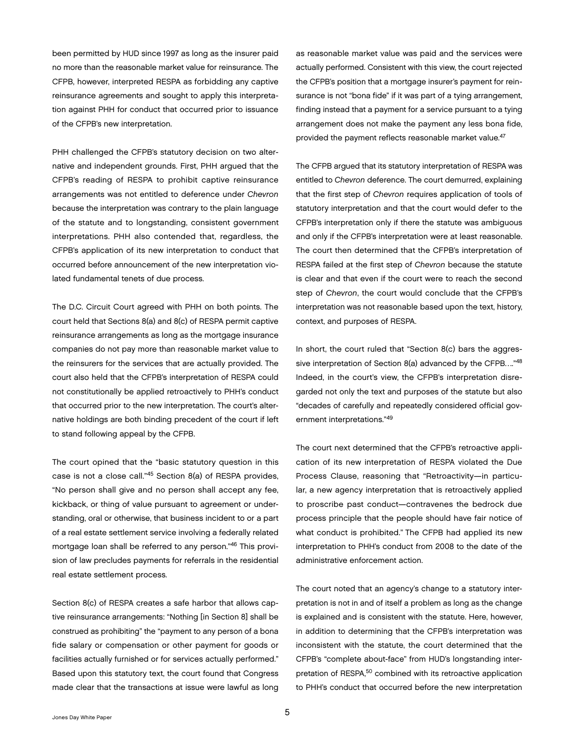been permitted by HUD since 1997 as long as the insurer paid no more than the reasonable market value for reinsurance. The CFPB, however, interpreted RESPA as forbidding any captive reinsurance agreements and sought to apply this interpretation against PHH for conduct that occurred prior to issuance of the CFPB's new interpretation.

PHH challenged the CFPB's statutory decision on two alternative and independent grounds. First, PHH argued that the CFPB's reading of RESPA to prohibit captive reinsurance arrangements was not entitled to deference under *Chevron* because the interpretation was contrary to the plain language of the statute and to longstanding, consistent government interpretations. PHH also contended that, regardless, the CFPB's application of its new interpretation to conduct that occurred before announcement of the new interpretation violated fundamental tenets of due process.

The D.C. Circuit Court agreed with PHH on both points. The court held that Sections 8(a) and 8(c) of RESPA permit captive reinsurance arrangements as long as the mortgage insurance companies do not pay more than reasonable market value to the reinsurers for the services that are actually provided. The court also held that the CFPB's interpretation of RESPA could not constitutionally be applied retroactively to PHH's conduct that occurred prior to the new interpretation. The court's alternative holdings are both binding precedent of the court if left to stand following appeal by the CFPB.

The court opined that the "basic statutory question in this case is not a close call."45 Section 8(a) of RESPA provides, "No person shall give and no person shall accept any fee, kickback, or thing of value pursuant to agreement or understanding, oral or otherwise, that business incident to or a part of a real estate settlement service involving a federally related mortgage loan shall be referred to any person."46 This provision of law precludes payments for referrals in the residential real estate settlement process.

Section 8(c) of RESPA creates a safe harbor that allows captive reinsurance arrangements: "Nothing [in Section 8] shall be construed as prohibiting" the "payment to any person of a bona fide salary or compensation or other payment for goods or facilities actually furnished or for services actually performed." Based upon this statutory text, the court found that Congress made clear that the transactions at issue were lawful as long

as reasonable market value was paid and the services were actually performed. Consistent with this view, the court rejected the CFPB's position that a mortgage insurer's payment for reinsurance is not "bona fide" if it was part of a tying arrangement, finding instead that a payment for a service pursuant to a tying arrangement does not make the payment any less bona fide, provided the payment reflects reasonable market value.<sup>47</sup>

The CFPB argued that its statutory interpretation of RESPA was entitled to *Chevron* deference. The court demurred, explaining that the first step of *Chevron* requires application of tools of statutory interpretation and that the court would defer to the CFPB's interpretation only if there the statute was ambiguous and only if the CFPB's interpretation were at least reasonable. The court then determined that the CFPB's interpretation of RESPA failed at the first step of *Chevron* because the statute is clear and that even if the court were to reach the second step of *Chevron*, the court would conclude that the CFPB's interpretation was not reasonable based upon the text, history, context, and purposes of RESPA.

In short, the court ruled that "Section 8(c) bars the aggressive interpretation of Section 8(a) advanced by the CFPB…."<sup>48</sup> Indeed, in the court's view, the CFPB's interpretation disregarded not only the text and purposes of the statute but also "decades of carefully and repeatedly considered official government interpretations."49

The court next determined that the CFPB's retroactive application of its new interpretation of RESPA violated the Due Process Clause, reasoning that "Retroactivity—in particular, a new agency interpretation that is retroactively applied to proscribe past conduct—contravenes the bedrock due process principle that the people should have fair notice of what conduct is prohibited." The CFPB had applied its new interpretation to PHH's conduct from 2008 to the date of the administrative enforcement action.

The court noted that an agency's change to a statutory interpretation is not in and of itself a problem as long as the change is explained and is consistent with the statute. Here, however, in addition to determining that the CFPB's interpretation was inconsistent with the statute, the court determined that the CFPB's "complete about-face" from HUD's longstanding interpretation of RESPA,50 combined with its retroactive application to PHH's conduct that occurred before the new interpretation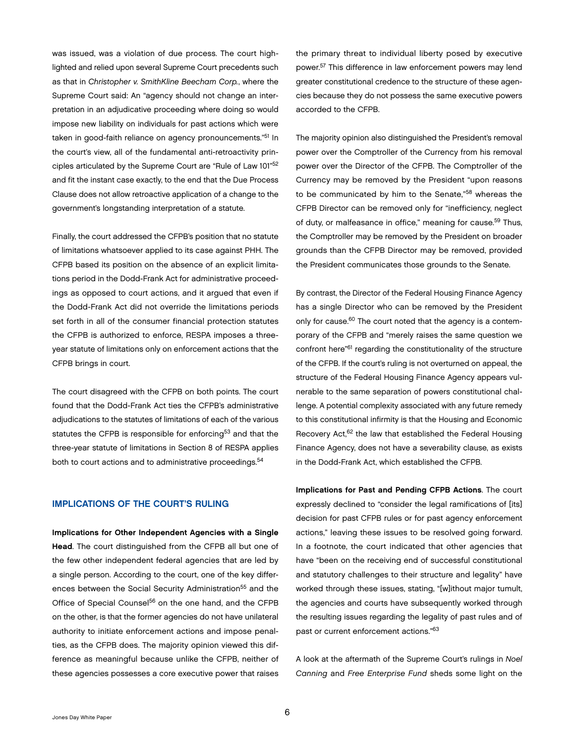<span id="page-7-0"></span>was issued, was a violation of due process. The court highlighted and relied upon several Supreme Court precedents such as that in *Christopher v. SmithKline Beecham Corp.*, where the Supreme Court said: An "agency should not change an interpretation in an adjudicative proceeding where doing so would impose new liability on individuals for past actions which were taken in good-faith reliance on agency pronouncements."<sup>51</sup> In the court's view, all of the fundamental anti-retroactivity principles articulated by the Supreme Court are "Rule of Law 101"<sup>52</sup> and fit the instant case exactly, to the end that the Due Process Clause does not allow retroactive application of a change to the government's longstanding interpretation of a statute.

Finally, the court addressed the CFPB's position that no statute of limitations whatsoever applied to its case against PHH. The CFPB based its position on the absence of an explicit limitations period in the Dodd-Frank Act for administrative proceedings as opposed to court actions, and it argued that even if the Dodd-Frank Act did not override the limitations periods set forth in all of the consumer financial protection statutes the CFPB is authorized to enforce, RESPA imposes a threeyear statute of limitations only on enforcement actions that the CFPB brings in court.

The court disagreed with the CFPB on both points. The court found that the Dodd-Frank Act ties the CFPB's administrative adjudications to the statutes of limitations of each of the various statutes the CFPB is responsible for enforcing<sup>53</sup> and that the three-year statute of limitations in Section 8 of RESPA applies both to court actions and to administrative proceedings.<sup>54</sup>

#### IMPLICATIONS OF THE COURT'S RULING

Implications for Other Independent Agencies with a Single Head. The court distinguished from the CFPB all but one of the few other independent federal agencies that are led by a single person. According to the court, one of the key differences between the Social Security Administration<sup>55</sup> and the Office of Special Counsel<sup>56</sup> on the one hand, and the CFPB on the other, is that the former agencies do not have unilateral authority to initiate enforcement actions and impose penalties, as the CFPB does. The majority opinion viewed this difference as meaningful because unlike the CFPB, neither of these agencies possesses a core executive power that raises

the primary threat to individual liberty posed by executive power.57 This difference in law enforcement powers may lend greater constitutional credence to the structure of these agencies because they do not possess the same executive powers accorded to the CFPB.

The majority opinion also distinguished the President's removal power over the Comptroller of the Currency from his removal power over the Director of the CFPB. The Comptroller of the Currency may be removed by the President "upon reasons to be communicated by him to the Senate,"58 whereas the CFPB Director can be removed only for "inefficiency, neglect of duty, or malfeasance in office," meaning for cause.<sup>59</sup> Thus, the Comptroller may be removed by the President on broader grounds than the CFPB Director may be removed, provided the President communicates those grounds to the Senate.

By contrast, the Director of the Federal Housing Finance Agency has a single Director who can be removed by the President only for cause.<sup>60</sup> The court noted that the agency is a contemporary of the CFPB and "merely raises the same question we confront here"61 regarding the constitutionality of the structure of the CFPB. If the court's ruling is not overturned on appeal, the structure of the Federal Housing Finance Agency appears vulnerable to the same separation of powers constitutional challenge. A potential complexity associated with any future remedy to this constitutional infirmity is that the Housing and Economic Recovery Act,<sup>62</sup> the law that established the Federal Housing Finance Agency, does not have a severability clause, as exists in the Dodd-Frank Act, which established the CFPB.

Implications for Past and Pending CFPB Actions. The court expressly declined to "consider the legal ramifications of [its] decision for past CFPB rules or for past agency enforcement actions," leaving these issues to be resolved going forward. In a footnote, the court indicated that other agencies that have "been on the receiving end of successful constitutional and statutory challenges to their structure and legality" have worked through these issues, stating, "[w]ithout major tumult, the agencies and courts have subsequently worked through the resulting issues regarding the legality of past rules and of past or current enforcement actions."63

A look at the aftermath of the Supreme Court's rulings in *Noel Canning* and *Free Enterprise Fund* sheds some light on the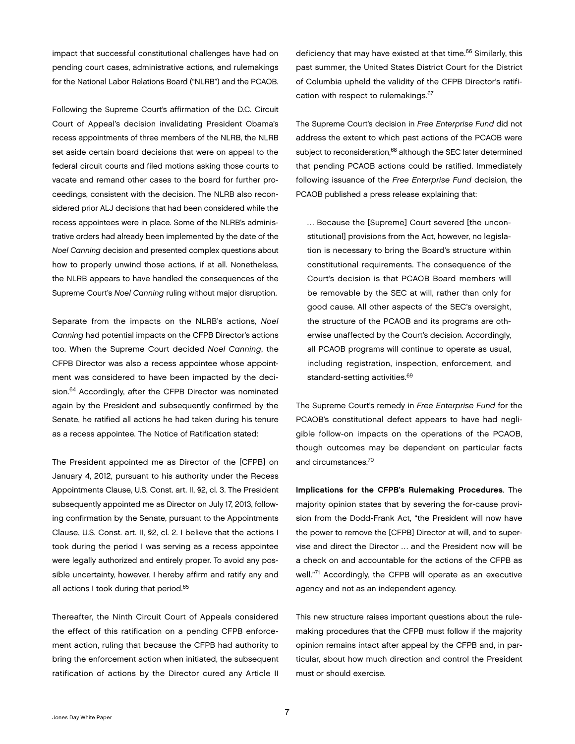impact that successful constitutional challenges have had on pending court cases, administrative actions, and rulemakings for the National Labor Relations Board ("NLRB") and the PCAOB.

Following the Supreme Court's affirmation of the D.C. Circuit Court of Appeal's decision invalidating President Obama's recess appointments of three members of the NLRB, the NLRB set aside certain board decisions that were on appeal to the federal circuit courts and filed motions asking those courts to vacate and remand other cases to the board for further proceedings, consistent with the decision. The NLRB also reconsidered prior ALJ decisions that had been considered while the recess appointees were in place. Some of the NLRB's administrative orders had already been implemented by the date of the *Noel Canning* decision and presented complex questions about how to properly unwind those actions, if at all. Nonetheless, the NLRB appears to have handled the consequences of the Supreme Court's *Noel Canning* ruling without major disruption.

Separate from the impacts on the NLRB's actions, *Noel Canning* had potential impacts on the CFPB Director's actions too. When the Supreme Court decided *Noel Canning*, the CFPB Director was also a recess appointee whose appointment was considered to have been impacted by the decision.<sup>64</sup> Accordingly, after the CFPB Director was nominated again by the President and subsequently confirmed by the Senate, he ratified all actions he had taken during his tenure as a recess appointee. The Notice of Ratification stated:

The President appointed me as Director of the [CFPB] on January 4, 2012, pursuant to his authority under the Recess Appointments Clause, U.S. Const. art. II, §2, cl. 3. The President subsequently appointed me as Director on July 17, 2013, following confirmation by the Senate, pursuant to the Appointments Clause, U.S. Const. art. II, §2, cl. 2. I believe that the actions I took during the period I was serving as a recess appointee were legally authorized and entirely proper. To avoid any possible uncertainty, however, I hereby affirm and ratify any and all actions I took during that period.<sup>65</sup>

Thereafter, the Ninth Circuit Court of Appeals considered the effect of this ratification on a pending CFPB enforcement action, ruling that because the CFPB had authority to bring the enforcement action when initiated, the subsequent ratification of actions by the Director cured any Article II

deficiency that may have existed at that time.<sup>66</sup> Similarly, this past summer, the United States District Court for the District of Columbia upheld the validity of the CFPB Director's ratification with respect to rulemakings.<sup>67</sup>

The Supreme Court's decision in *Free Enterprise Fund* did not address the extent to which past actions of the PCAOB were subject to reconsideration,<sup>68</sup> although the SEC later determined that pending PCAOB actions could be ratified. Immediately following issuance of the *Free Enterprise Fund* decision, the PCAOB published a press release explaining that:

… Because the [Supreme] Court severed [the unconstitutional] provisions from the Act, however, no legislation is necessary to bring the Board's structure within constitutional requirements. The consequence of the Court's decision is that PCAOB Board members will be removable by the SEC at will, rather than only for good cause. All other aspects of the SEC's oversight, the structure of the PCAOB and its programs are otherwise unaffected by the Court's decision. Accordingly, all PCAOB programs will continue to operate as usual, including registration, inspection, enforcement, and standard-setting activities.<sup>69</sup>

The Supreme Court's remedy in *Free Enterprise Fund* for the PCAOB's constitutional defect appears to have had negligible follow-on impacts on the operations of the PCAOB, though outcomes may be dependent on particular facts and circumstances.70

Implications for the CFPB's Rulemaking Procedures. The majority opinion states that by severing the for-cause provision from the Dodd-Frank Act, "the President will now have the power to remove the [CFPB] Director at will, and to supervise and direct the Director … and the President now will be a check on and accountable for the actions of the CFPB as well."71 Accordingly, the CFPB will operate as an executive agency and not as an independent agency.

This new structure raises important questions about the rulemaking procedures that the CFPB must follow if the majority opinion remains intact after appeal by the CFPB and, in particular, about how much direction and control the President must or should exercise.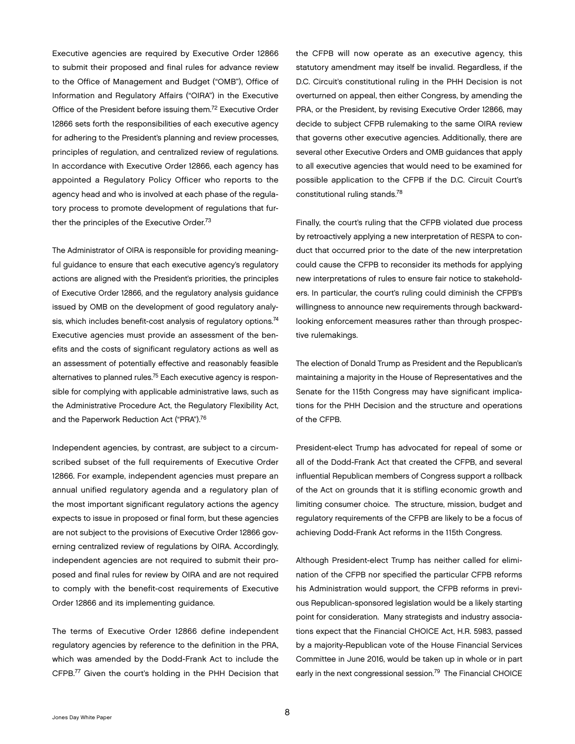Executive agencies are required by Executive Order 12866 to submit their proposed and final rules for advance review to the Office of Management and Budget ("OMB"), Office of Information and Regulatory Affairs ("OIRA") in the Executive Office of the President before issuing them.72 Executive Order 12866 sets forth the responsibilities of each executive agency for adhering to the President's planning and review processes, principles of regulation, and centralized review of regulations. In accordance with Executive Order 12866, each agency has appointed a Regulatory Policy Officer who reports to the agency head and who is involved at each phase of the regulatory process to promote development of regulations that further the principles of the Executive Order.<sup>73</sup>

The Administrator of OIRA is responsible for providing meaningful guidance to ensure that each executive agency's regulatory actions are aligned with the President's priorities, the principles of Executive Order 12866, and the regulatory analysis guidance issued by OMB on the development of good regulatory analysis, which includes benefit-cost analysis of regulatory options.<sup>74</sup> Executive agencies must provide an assessment of the benefits and the costs of significant regulatory actions as well as an assessment of potentially effective and reasonably feasible alternatives to planned rules.<sup>75</sup> Each executive agency is responsible for complying with applicable administrative laws, such as the Administrative Procedure Act, the Regulatory Flexibility Act, and the Paperwork Reduction Act ("PRA").<sup>76</sup>

Independent agencies, by contrast, are subject to a circumscribed subset of the full requirements of Executive Order 12866. For example, independent agencies must prepare an annual unified regulatory agenda and a regulatory plan of the most important significant regulatory actions the agency expects to issue in proposed or final form, but these agencies are not subject to the provisions of Executive Order 12866 governing centralized review of regulations by OIRA. Accordingly, independent agencies are not required to submit their proposed and final rules for review by OIRA and are not required to comply with the benefit-cost requirements of Executive Order 12866 and its implementing guidance.

The terms of Executive Order 12866 define independent regulatory agencies by reference to the definition in the PRA, which was amended by the Dodd-Frank Act to include the CFPB.77 Given the court's holding in the PHH Decision that the CFPB will now operate as an executive agency, this statutory amendment may itself be invalid. Regardless, if the D.C. Circuit's constitutional ruling in the PHH Decision is not overturned on appeal, then either Congress, by amending the PRA, or the President, by revising Executive Order 12866, may decide to subject CFPB rulemaking to the same OIRA review that governs other executive agencies. Additionally, there are several other Executive Orders and OMB guidances that apply to all executive agencies that would need to be examined for possible application to the CFPB if the D.C. Circuit Court's constitutional ruling stands.78

Finally, the court's ruling that the CFPB violated due process by retroactively applying a new interpretation of RESPA to conduct that occurred prior to the date of the new interpretation could cause the CFPB to reconsider its methods for applying new interpretations of rules to ensure fair notice to stakeholders. In particular, the court's ruling could diminish the CFPB's willingness to announce new requirements through backwardlooking enforcement measures rather than through prospective rulemakings.

The election of Donald Trump as President and the Republican's maintaining a majority in the House of Representatives and the Senate for the 115th Congress may have significant implications for the PHH Decision and the structure and operations of the CFPB.

President-elect Trump has advocated for repeal of some or all of the Dodd-Frank Act that created the CFPB, and several influential Republican members of Congress support a rollback of the Act on grounds that it is stifling economic growth and limiting consumer choice. The structure, mission, budget and regulatory requirements of the CFPB are likely to be a focus of achieving Dodd-Frank Act reforms in the 115th Congress.

Although President-elect Trump has neither called for elimination of the CFPB nor specified the particular CFPB reforms his Administration would support, the CFPB reforms in previous Republican-sponsored legislation would be a likely starting point for consideration. Many strategists and industry associations expect that the Financial CHOICE Act, H.R. 5983, passed by a majority-Republican vote of the House Financial Services Committee in June 2016, would be taken up in whole or in part early in the next congressional session.<sup>79</sup> The Financial CHOICE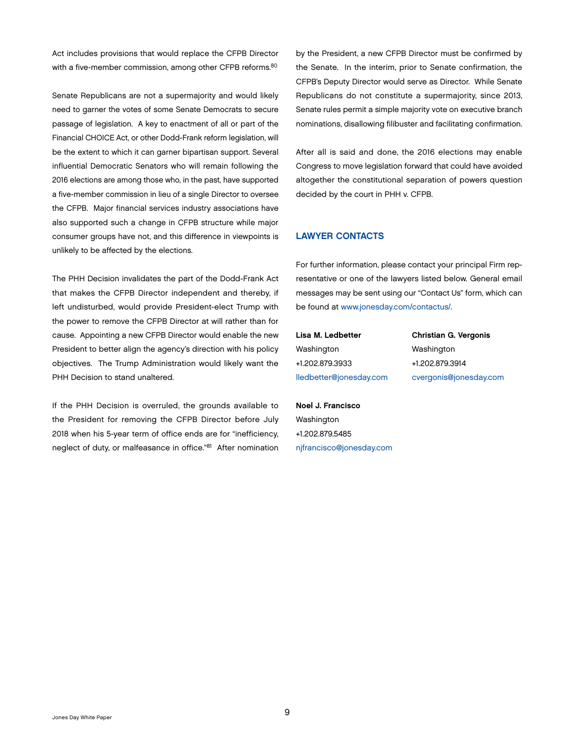<span id="page-10-0"></span>Act includes provisions that would replace the CFPB Director with a five-member commission, among other CFPB reforms.<sup>80</sup>

Senate Republicans are not a supermajority and would likely need to garner the votes of some Senate Democrats to secure passage of legislation. A key to enactment of all or part of the Financial CHOICE Act, or other Dodd-Frank reform legislation, will be the extent to which it can garner bipartisan support. Several influential Democratic Senators who will remain following the 2016 elections are among those who, in the past, have supported a five-member commission in lieu of a single Director to oversee the CFPB. Major financial services industry associations have also supported such a change in CFPB structure while major consumer groups have not, and this difference in viewpoints is unlikely to be affected by the elections.

The PHH Decision invalidates the part of the Dodd-Frank Act that makes the CFPB Director independent and thereby, if left undisturbed, would provide President-elect Trump with the power to remove the CFPB Director at will rather than for cause. Appointing a new CFPB Director would enable the new President to better align the agency's direction with his policy objectives. The Trump Administration would likely want the PHH Decision to stand unaltered.

If the PHH Decision is overruled, the grounds available to the President for removing the CFPB Director before July 2018 when his 5-year term of office ends are for "inefficiency, neglect of duty, or malfeasance in office."81 After nomination

by the President, a new CFPB Director must be confirmed by the Senate. In the interim, prior to Senate confirmation, the CFPB's Deputy Director would serve as Director. While Senate Republicans do not constitute a supermajority, since 2013, Senate rules permit a simple majority vote on executive branch nominations, disallowing filibuster and facilitating confirmation.

After all is said and done, the 2016 elections may enable Congress to move legislation forward that could have avoided altogether the constitutional separation of powers question decided by the court in PHH v. CFPB.

#### LAWYER CONTACTS

For further information, please contact your principal Firm representative or one of the lawyers listed below. General email messages may be sent using our "Contact Us" form, which can be found at [www.jonesday.com/contactus/.](http://www.jonesday.com/contactus/)

Lisa M. Ledbetter Washington +1.202.879.3933 [lledbetter@jonesday.com](mailto:lledbetter@jonesday.com) Christian G. Vergonis Washington +1.202.879.3914 [cvergonis@jonesday.com](mailto:cvergonis@jonesday.com)

Noel J. Francisco Washington +1.202.879.5485 [njfrancisco@jonesday.com](mailto:njfrancisco@jonesday.com)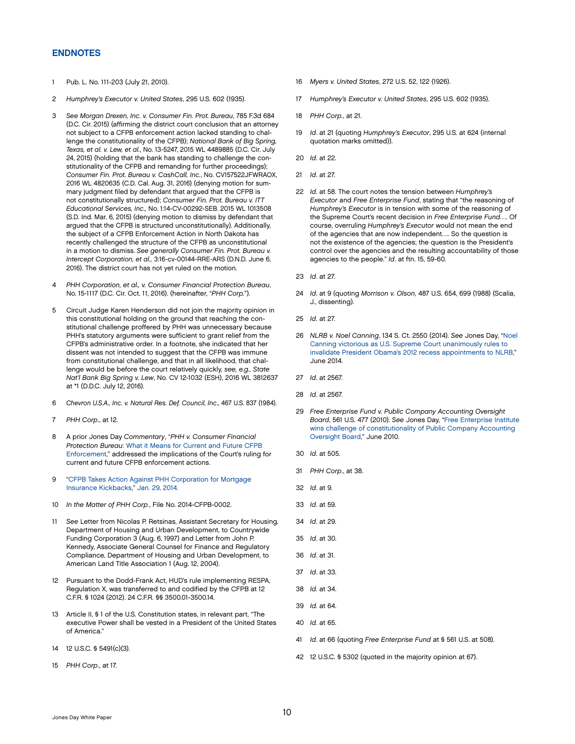#### <span id="page-11-0"></span>ENDNOTES

- 1 Pub. L. No. 111-203 (July 21, 2010).
- 2 *Humphrey's Executor v. United States*, 295 U.S. 602 (1935).
- 3 *See Morgan Drexen, Inc*. *v. Consumer Fin. Prot. Bureau*, 785 F.3d 684 (D.C. Cir. 2015) (affirming the district court conclusion that an attorney not subject to a CFPB enforcement action lacked standing to challenge the constitutionality of the CFPB); *National Bank of Big Spring, Texas, et al. v. Lew, et al.*, No. 13-5247, 2015 WL 4489885 (D.C. Cir. July 24, 2015) (holding that the bank has standing to challenge the constitutionality of the CFPB and remanding for further proceedings); *Consumer Fin. Prot. Bureau v. CashCall, Inc.*, No. CV157522JFWRAOX, 2016 WL 4820635 (C.D. Cal. Aug. 31, 2016) (denying motion for summary judgment filed by defendant that argued that the CFPB is not constitutionally structured); *Consumer Fin. Prot. Bureau v. ITT Educational Services, Inc.,* No. 1:14-CV-00292-SEB. 2015 WL 1013508 (S.D. Ind. Mar. 6, 2015) (denying motion to dismiss by defendant that argued that the CFPB is structured unconstitutionally). Additionally, the subject of a CFPB Enforcement Action in North Dakota has recently challenged the structure of the CFPB as unconstitutional in a motion to dismiss. *See generally Consumer Fin. Prot. Bureau v. Intercept Corporation, et al.,* 3:16-cv-00144-RRE-ARS (D.N.D. June 6, 2016). The district court has not yet ruled on the motion.
- 4 *PHH Corporation, et al., v. Consumer Financial Protection Bureau*, No. 15-1117 (D.C. Cir. Oct. 11, 2016). (hereinafter, "*PHH Corp.*").
- 5 Circuit Judge Karen Henderson did not join the majority opinion in this constitutional holding on the ground that reaching the constitutional challenge proffered by PHH was unnecessary because PHH's statutory arguments were sufficient to grant relief from the CFPB's administrative order. In a footnote, she indicated that her dissent was not intended to suggest that the CFPB was immune from constitutional challenge, and that in all likelihood, that challenge would be before the court relatively quickly, *see, e.g., State Nat'l Bank Big Spring v. Lew*, No. CV 12-1032 (ESH), 2016 WL 3812637 at \*1 (D.D.C. July 12, 2016).
- 6 *Chevron U.S.A., Inc. v. Natural Res. Def. Council, Inc*., 467 U.S. 837 (1984).
- 7 *PHH Corp*., at 12.
- 8 A prior Jones Day *Commentary*, "*[PHH v. Consumer Financial](http://www.jonesday.com/phh-v-consumer-financial-protection-bureau-what-it-means-for-current-and-future-cfpb-enforcement-10-21-2016/)  Protection Bureau*[: What it Means for Current and Future CFPB](http://www.jonesday.com/phh-v-consumer-financial-protection-bureau-what-it-means-for-current-and-future-cfpb-enforcement-10-21-2016/)  [Enforcement](http://www.jonesday.com/phh-v-consumer-financial-protection-bureau-what-it-means-for-current-and-future-cfpb-enforcement-10-21-2016/)," addressed the implications of the Court's ruling for current and future CFPB enforcement actions.
- 9 ["CFPB Takes Action Against PHH Corporation for Mortgage](http://www.consumerfinance.gov/about-us/newsroom/cfpb-takes-action-against-phh-corporation-for-mortgage-insurance-kickbacks/)  [Insurance Kickbacks](http://www.consumerfinance.gov/about-us/newsroom/cfpb-takes-action-against-phh-corporation-for-mortgage-insurance-kickbacks/)," Jan. 29, 2014.
- 10 *[In the Matter of PHH Corp](http://files.consumerfinance.gov/f/201506/_cfpb_decision-by-director-cordray-redacted-226.pdf)*., File No. 2014-CFPB-0002.
- 11 *See* Letter from Nicolas P. Retsinas, Assistant Secretary for Housing, Department of Housing and Urban Development, to Countrywide Funding Corporation 3 (Aug. 6, 1997) and Letter from John P. Kennedy, Associate General Counsel for Finance and Regulatory Compliance, Department of Housing and Urban Development, to American Land Title Association 1 (Aug. 12, 2004).
- 12 Pursuant to the Dodd-Frank Act, HUD's rule implementing RESPA, Regulation X, was transferred to and codified by the CFPB at 12 C.F.R. § 1024 (2012). 24 C.F.R. §§ 3500.01-3500.14.
- 13 Article II, § 1 of the U.S. Constitution states, in relevant part, "The executive Power shall be vested in a President of the United States of America."
- 14 [12 U.S.C. § 5491](https://www.law.cornell.edu/uscode/text/12/5491)(c)(3).
- 15 *PHH Corp*., at 17.
- 16 *Myers v. United States*, 272 U.S. 52, 122 (1926).
- 17 *Humphrey's Executor v. United States*, 295 U.S. 602 (1935).
- 18 *PHH Corp*., at 21.
- 19 *Id*. at 21 (quoting *Humphrey's Executor*, 295 U.S*.* at 624 (internal quotation marks omitted)).
- 20 *Id*. at 22.
- 21 *Id*. at 27.
- 22 *Id*. at 58. The court notes the tension between *Humphrey's Executor* and *Free Enterprise Fund*, stating that "the reasoning of *Humphrey's Executor* is in tension with some of the reasoning of the Supreme Court's recent decision in *Free Enterprise Fund*…. Of course, overruling *Humphrey's Executor* would not mean the end of the agencies that are now independent…. So the question is not the existence of the agencies; the question is the President's control over the agencies and the resulting accountability of those agencies to the people." *Id*. at ftn. 15, 59-60.
- 23 *Id*. at 27.
- 24 *Id*. at 9 (quoting *Morrison v. Olson*, 487 U.S. 654, 699 (1988) (Scalia, J., dissenting).
- 25 *Id*. at 27.
- 26 *NLRB v. Noel Canning*, 134 S. Ct. 2550 (2014). *See* Jones Day, ["Noel](http://www.jonesday.com/noel-canning-victorious-as-us-supreme-court-unanimously-rules-to-invalidate-president-obamas-2012-recess-appointments-to-nlrb/)  [Canning victorious as U.S. Supreme Court unanimously rules to](http://www.jonesday.com/noel-canning-victorious-as-us-supreme-court-unanimously-rules-to-invalidate-president-obamas-2012-recess-appointments-to-nlrb/)  [invalidate President Obama's 2012 recess appointments to NLRB](http://www.jonesday.com/noel-canning-victorious-as-us-supreme-court-unanimously-rules-to-invalidate-president-obamas-2012-recess-appointments-to-nlrb/)," June 2014.
- 27 *Id*. at 2567.
- 28 *Id*. at 2567.
- 29 *Free Enterprise Fund v. Public Company Accounting Oversight Board*, 561 U.S. 477 (2010). *See* Jones Day, ["Free Enterprise Institute](http://www.jonesday.com/experiencepractices/ExperienceDetail.aspx?experienceid=21699)  [wins challenge of constitutionality of Public Company Accounting](http://www.jonesday.com/experiencepractices/ExperienceDetail.aspx?experienceid=21699)  [Oversight Board](http://www.jonesday.com/experiencepractices/ExperienceDetail.aspx?experienceid=21699)," June 2010.
- 30 *Id*. at 505.
- 31 *PHH Corp*., at 38.
- 32 *Id*. at 9.
- 33 *Id*. at 59.
- 34 *Id*. at 29.
- 35 *Id*. at 30.
- 36 *Id*. at 31.
- 37 *Id*. at 33.
- 38 *Id.* at 34.
- 39 *Id.* at 64.
- 40 *Id.* at 65.
- 41 *Id*. at 66 (quoting *Free Enterprise Fund* at § 561 U.S. at 508).
- 42 12 U.S.C. § 5302 (quoted in the majority opinion at 67).